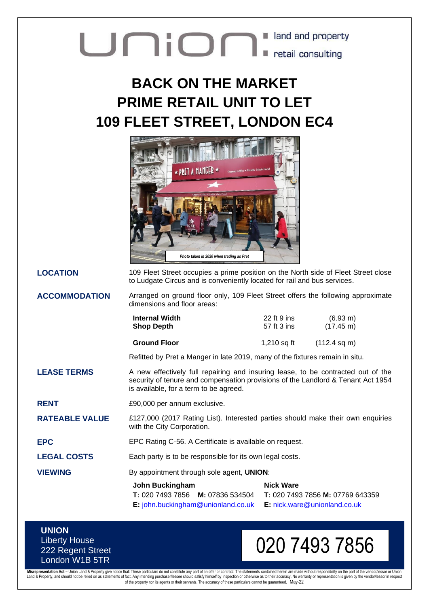## **United States of Second Lines Contract Contract Contract Contract Contract Contract Contract Contract Contract Contract Contract Contract Contract Contract Contract Contract Contract Contract Contract Contract Contract Co** land and property

## **BACK ON THE MARKET PRIME RETAIL UNIT TO LET 109 FLEET STREET, LONDON EC4**



**LOCATION** 109 Fleet Street occupies a prime position on the North side of Fleet Street close to Ludgate Circus and is conveniently located for rail and bus services.

**ACCOMMODATION** Arranged on ground floor only, 109 Fleet Street offers the following approximate dimensions and floor areas:

| <b>Internal Width</b> | 22 ft 9 ins | $(6.93 \text{ m})$     |
|-----------------------|-------------|------------------------|
| <b>Shop Depth</b>     | 57 ft 3 ins | $(17.45 \text{ m})$    |
| <b>Ground Floor</b>   | 1,210 sq ft | $(112.4 \text{ sq m})$ |

Refitted by Pret a Manger in late 2019, many of the fixtures remain in situ.

**LEASE TERMS** A new effectively full repairing and insuring lease, to be contracted out of the security of tenure and compensation provisions of the Landlord & Tenant Act 1954 is available, for a term to be agreed.

**RENT**  $£90,000$  per annum exclusive.

**RATEABLE VALUE** £127,000 (2017 Rating List). Interested parties should make their own enquiries with the City Corporation.

**EPC** EPC Rating C-56. A Certificate is available on request.

LEGAL COSTS Each party is to be responsible for its own legal costs.

**VIEWING** By appointment through sole agent, **UNION**:

| John Buckingham                                | <b>Nick Ware</b>                 |
|------------------------------------------------|----------------------------------|
| <b>T:</b> 020 7493 7856 <b>M:</b> 07836 534504 | T: 020 7493 7856 M: 07769 643359 |
| $E:$ john.buckingham@unionland.co.uk           | $E:$ nick.ware @unionland.co.uk  |

**UNION** Liberty House 222 Regent Street London W1B 5TR

## 020 7493 7856

Misrepresentation Act – Union Land & Property give notice that: These particulars do not constitute any part of an offer or contract. The statements contained herein are made without responsibility on the part of the vendo of the property nor its agents or their servants. The accuracy of these particulars cannot be guaranteed. May-22